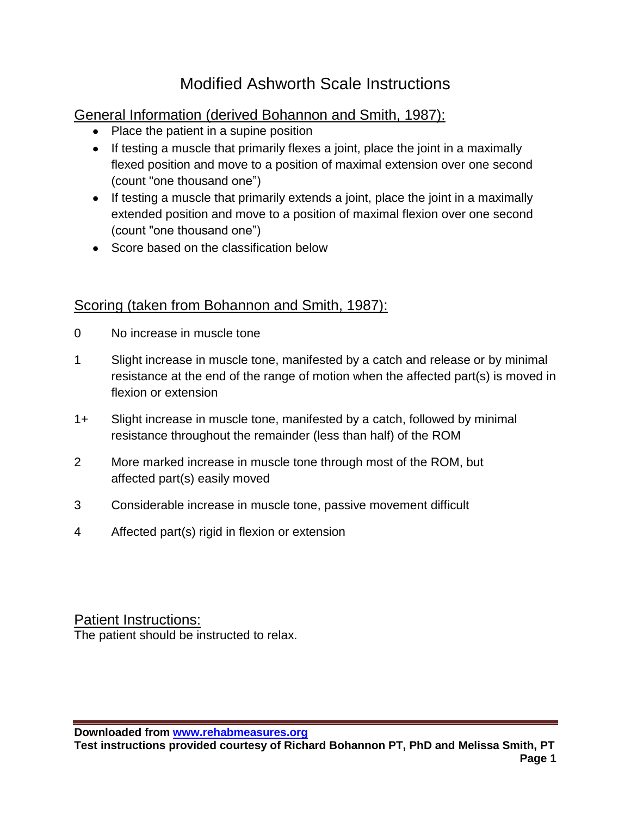# Modified Ashworth Scale Instructions

### General Information (derived Bohannon and Smith, 1987):

- Place the patient in a supine position
- If testing a muscle that primarily flexes a joint, place the joint in a maximally flexed position and move to a position of maximal extension over one second (count "one thousand one")
- If testing a muscle that primarily extends a joint, place the joint in a maximally extended position and move to a position of maximal flexion over one second (count "one thousand one")
- Score based on the classification below

### Scoring (taken from Bohannon and Smith, 1987):

- 0 No increase in muscle tone
- 1 Slight increase in muscle tone, manifested by a catch and release or by minimal resistance at the end of the range of motion when the affected part(s) is moved in flexion or extension
- 1+ Slight increase in muscle tone, manifested by a catch, followed by minimal resistance throughout the remainder (less than half) of the ROM
- 2 More marked increase in muscle tone through most of the ROM, but affected part(s) easily moved
- 3 Considerable increase in muscle tone, passive movement difficult
- 4 Affected part(s) rigid in flexion or extension

Patient Instructions: The patient should be instructed to relax.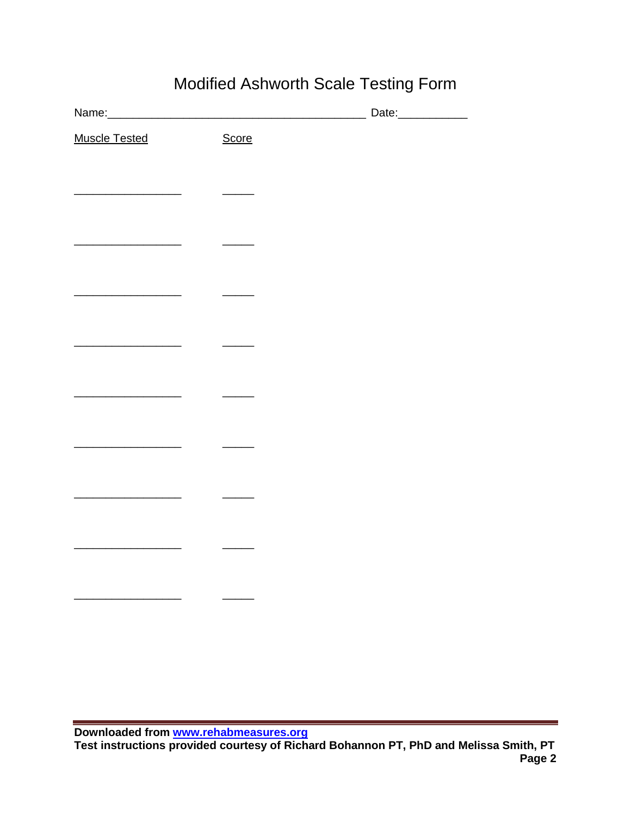# Modified Ashworth Scale Testing Form

| <b>Muscle Tested</b>                    | Score |  |
|-----------------------------------------|-------|--|
|                                         |       |  |
|                                         |       |  |
|                                         |       |  |
|                                         |       |  |
| <u> 1980 - Johann Barbara, martin a</u> |       |  |
|                                         |       |  |
|                                         |       |  |
|                                         |       |  |
|                                         |       |  |
|                                         |       |  |